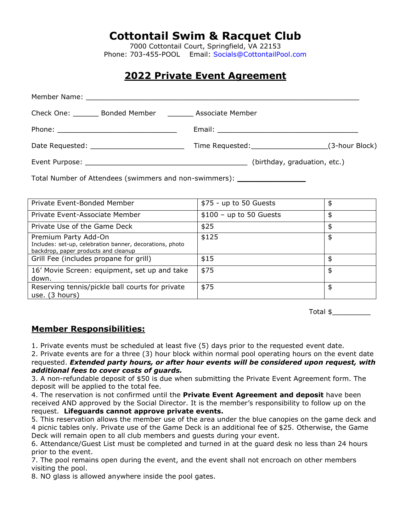## **Cottontail Swim & Racquet Club**

7000 Cottontail Court, Springfield, VA 22153 Phone: 703-455-POOL Email: Socials@CottontailPool.com

## **2022 Private Event Agreement**

| Check One: Bonded Member ________ Associate Member                               |                                                        |  |  |
|----------------------------------------------------------------------------------|--------------------------------------------------------|--|--|
|                                                                                  |                                                        |  |  |
|                                                                                  | Time Requested: ________________________(3-hour Block) |  |  |
| Event Purpose: (birthday, graduation, etc.)                                      |                                                        |  |  |
| Total Number of Attendees (swimmers and non-swimmers): _________________________ |                                                        |  |  |

| Private Event-Bonded Member                                                                                              | $$75$ - up to 50 Guests  | \$ |
|--------------------------------------------------------------------------------------------------------------------------|--------------------------|----|
| Private Event-Associate Member                                                                                           | $$100 - up to 50 Guests$ | \$ |
| Private Use of the Game Deck                                                                                             | \$25                     | \$ |
| Premium Party Add-On<br>Includes: set-up, celebration banner, decorations, photo<br>backdrop, paper products and cleanup | \$125                    | \$ |
| Grill Fee (includes propane for grill)                                                                                   | \$15                     | \$ |
| 16' Movie Screen: equipment, set up and take<br>down.                                                                    | \$75                     | \$ |
| Reserving tennis/pickle ball courts for private<br>use. (3 hours)                                                        | \$75                     | \$ |

Total \$\_\_\_\_\_\_\_\_\_

### **Member Responsibilities:**

1. Private events must be scheduled at least five (5) days prior to the requested event date.

2. Private events are for a three (3) hour block within normal pool operating hours on the event date requested. *Extended party hours, or after hour events will be considered upon request, with additional fees to cover costs of guards.*

3. A non-refundable deposit of \$50 is due when submitting the Private Event Agreement form. The deposit will be applied to the total fee.

4. The reservation is not confirmed until the **Private Event Agreement and deposit** have been received AND approved by the Social Director. It is the member's responsibility to follow up on the request. **Lifeguards cannot approve private events.**

5. This reservation allows the member use of the area under the blue canopies on the game deck and 4 picnic tables only. Private use of the Game Deck is an additional fee of \$25. Otherwise, the Game Deck will remain open to all club members and guests during your event.

6. Attendance/Guest List must be completed and turned in at the guard desk no less than 24 hours prior to the event.

7. The pool remains open during the event, and the event shall not encroach on other members visiting the pool.

8. NO glass is allowed anywhere inside the pool gates.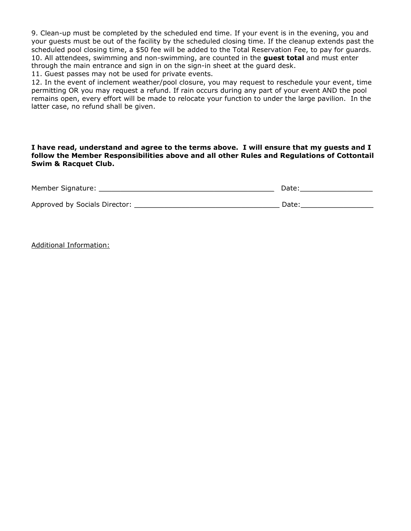9. Clean-up must be completed by the scheduled end time. If your event is in the evening, you and your guests must be out of the facility by the scheduled closing time. If the cleanup extends past the scheduled pool closing time, a \$50 fee will be added to the Total Reservation Fee, to pay for guards. 10. All attendees, swimming and non-swimming, are counted in the **guest total** and must enter through the main entrance and sign in on the sign-in sheet at the guard desk.

11. Guest passes may not be used for private events.

12. In the event of inclement weather/pool closure, you may request to reschedule your event, time permitting OR you may request a refund. If rain occurs during any part of your event AND the pool remains open, every effort will be made to relocate your function to under the large pavilion. In the latter case, no refund shall be given.

#### **I have read, understand and agree to the terms above. I will ensure that my guests and I follow the Member Responsibilities above and all other Rules and Regulations of Cottontail Swim & Racquet Club.**

| Member Signature:             | Date: |  |
|-------------------------------|-------|--|
|                               |       |  |
| Approved by Socials Director: | Date: |  |

Additional Information: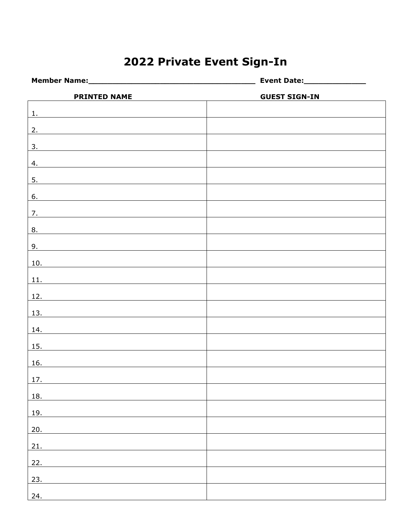# **2022 Private Event Sign-In**

| <b>PRINTED NAME</b>                                                                                                         | <b>GUEST SIGN-IN</b> |
|-----------------------------------------------------------------------------------------------------------------------------|----------------------|
| 1.                                                                                                                          |                      |
| 2.                                                                                                                          |                      |
| 3.                                                                                                                          |                      |
| 4.                                                                                                                          |                      |
| 5.                                                                                                                          |                      |
| 6.                                                                                                                          |                      |
| 7.<br><u> 1989 - Johann Harry Harry Harry Harry Harry Harry Harry Harry Harry Harry Harry Harry Harry Harry Harry Harry</u> |                      |
| 8.                                                                                                                          |                      |
| 9.                                                                                                                          |                      |
| 10.                                                                                                                         |                      |
| 11.<br><u> 1980 - Jan Samuel Barbara, politik eta politik eta politik eta politik eta politik eta politik eta politik e</u> |                      |
| 12.                                                                                                                         |                      |
| 13.                                                                                                                         |                      |
| 14.                                                                                                                         |                      |
| 15.                                                                                                                         |                      |
| 16.                                                                                                                         |                      |
| 17.                                                                                                                         |                      |
| 18.                                                                                                                         |                      |
| 19.                                                                                                                         |                      |
| 20.                                                                                                                         |                      |
| 21.                                                                                                                         |                      |
| 22.                                                                                                                         |                      |
| 23.                                                                                                                         |                      |
| 24.                                                                                                                         |                      |
|                                                                                                                             |                      |